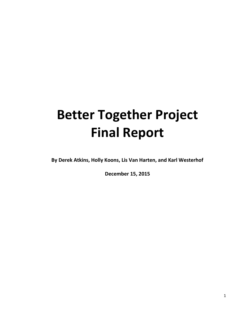# **Better Together Project Final Report**

**By Derek Atkins, Holly Koons, Lis Van Harten, and Karl Westerhof**

**December 15, 2015**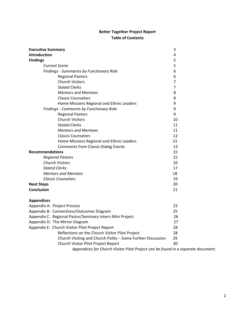# **Better Together Project Report Table of Contents**

| <b>Executive Summary</b>                                                         | 3              |
|----------------------------------------------------------------------------------|----------------|
| Introduction                                                                     | 4              |
| <b>Findings</b>                                                                  | 5              |
| <b>Current Scene</b>                                                             | 5              |
| Findings - Summaries by Functionary Role                                         | 6              |
| <b>Regional Pastors</b>                                                          | 6              |
| <b>Church Visitors</b>                                                           | $\overline{7}$ |
| <b>Stated Clerks</b>                                                             | 7              |
| <b>Mentors and Mentees</b>                                                       | 8              |
| <b>Classis Counselors</b>                                                        | 8              |
| Home Missions Regional and Ethnic Leaders                                        | 9              |
| Findings - Comments by Functionary Role                                          | 9              |
| <b>Regional Pastors</b>                                                          | 9              |
| <b>Church Visitors</b>                                                           | 10             |
| <b>Stated Clerks</b>                                                             | 11             |
| <b>Mentors and Mentees</b>                                                       | 11             |
| <b>Classis Counselors</b>                                                        | 12             |
| Home Missions Regional and Ethnic Leaders                                        | 13             |
| <b>Comments from Classis Dialog Events</b>                                       | 13             |
| <b>Recommendations</b>                                                           | 15             |
| <b>Regional Pastors</b>                                                          | 15             |
| <b>Church Visitors</b>                                                           | 16             |
| <b>Stated Clerks</b>                                                             | 17             |
| <b>Mentors and Mentees</b>                                                       | 18             |
| <b>Classis Counselors</b>                                                        | 19             |
| <b>Next Steps</b>                                                                | 20             |
| <b>Conclusion</b>                                                                | 21             |
| <b>Appendices</b>                                                                |                |
| Appendix A: Project Process                                                      | 23             |
| Appendix B: Connections/Outcomes Diagram                                         | 25             |
| Appendix C: Regional Pastor/Seminary Intern Mini Project                         | 26             |
| Appendix D: The Mirror Diagram                                                   | 27             |
| Appendix E: Church Visitor Pilot Project Report                                  | 28             |
| Reflections on the Church Visitor Pilot Project                                  | 28             |
| Church Visiting and Church Polity - Some Further Discussion                      | 29             |
| Church Visitor Pilot Project Report                                              | 30             |
| Appendices for Church Visitor Pilot Project can be found in a separate document. |                |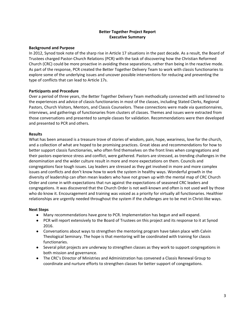#### **Better Together Project Report Executive Summary**

#### **Background and Purpose**

In 2012, Synod took note of the sharp rise in Article 17 situations in the past decade. As a result, the Board of Trustees charged Pastor-Church Relations (PCR) with the task of discovering how the Christian Reformed Church (CRC) could be more proactive in avoiding these separations, rather than being in the reactive mode. As part of the response, PCR created the Better Together Delivery Team to work with classis functionaries to explore some of the underlying issues and uncover possible interventions for reducing and preventing the type of conflicts that can lead to Article 17s.

#### **Participants and Procedure**

Over a period of three years, the Better Together Delivery Team methodically connected with and listened to the experiences and advice of classis functionaries in most of the classes, including Stated Clerks, Regional Pastors, Church Visitors, Mentors, and Classis Counselors. These connections were made via questionnaires, interviews, and gatherings of functionaries from clusters of classes. Themes and issues were extracted from those conversations and presented to sample classes for validation. Recommendations were then developed and presented to PCR and others.

#### **Results**

What has been amassed is a treasure trove of stories of wisdom, pain, hope, weariness, love for the church, and a collection of what are hoped to be promising practices. Great ideas and recommendations for how to better support classis functionaries, who often find themselves on the front lines when congregations and their pastors experience stress and conflict, were gathered. Pastors are stressed, as trending challenges in the denomination and the wider culture result in more and more expectations on them. Councils and congregations face tough issues. Lay leaders are stressed as they get involved in more and more complex issues and conflicts and don't know how to work the system in healthy ways. Wonderful growth in the diversity of leadership can often mean leaders who have not grown up with the mental map of CRC Church Order and come in with expectations that run against the expectations of seasoned CRC leaders and congregations. It was discovered that the Church Order is not well-known and often is not used well by those who do know it. Encouragement and training was voiced as a priority for virtually all functionaries. Healthier relationships are urgently needed throughout the system if the challenges are to be met in Christ-like ways.

#### **Next Steps**

- Many recommendations have gone to PCR. Implementation has begun and will expand.
- PCR will report extensively to the Board of Trustees on this project and its response to it at Synod 2016.
- Conversations about ways to strengthen the mentoring program have taken place with Calvin Theological Seminary. The hope is that mentoring will be coordinated with training for classis functionaries.
- Several pilot projects are underway to strengthen classes as they work to support congregations in both mission and governance.
- The CRC's Director of Ministries and Administration has convened a Classis Renewal Group to coordinate and nurture efforts to strengthen classes for better support of congregations.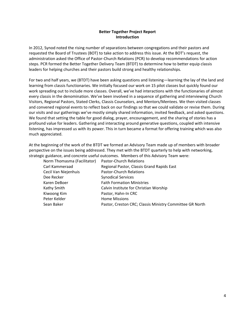#### **Better Together Project Report Introduction**

In 2012, Synod noted the rising number of separations between congregations and their pastors and requested the Board of Trustees (BOT) to take action to address this issue. At the BOT's request, the administration asked the Office of Pastor-Church Relations (PCR) to develop recommendations for action steps. PCR formed the Better Together Delivery Team (BTDT) to determine how to better equip classis leaders for helping churches and their pastors build strong and healthy relationships.

For two and half years, we (BTDT) have been asking questions and listening—learning the lay of the land and learning from classis functionaries. We initially focused our work on 15 pilot classes but quickly found our work spreading out to include more classes. Overall, we've had interactions with the functionaries of almost every classis in the denomination. We've been involved in a sequence of gathering and interviewing Church Visitors, Regional Pastors, Stated Clerks, Classis Counselors, and Mentors/Mentees. We then visited classes and convened regional events to reflect back on our findings so that we could validate or revise them. During our visits and our gatherings we've mostly simply shared information, invited feedback, and asked questions. We found that setting the table for good dialog, prayer, encouragement, and the sharing of stories has a profound value for leaders. Gathering and interacting around generative questions, coupled with intensive listening, has impressed us with its power. This in turn became a format for offering training which was also much appreciated.

At the beginning of the work of the BTDT we formed an Advisory Team made up of members with broader perspective on the issues being addressed. They met with the BTDT quarterly to help with networking, strategic guidance, and concrete useful outcomes. Members of this Advisory Team were:

| Norm Thomasma (Facilitator) | <b>Pastor-Church Relations</b>                           |
|-----------------------------|----------------------------------------------------------|
| Carl Kammeraad              | Regional Pastor, Classis Grand Rapids East               |
| Cecil Van Niejenhuis        | Pastor-Church Relations                                  |
| Dee Recker                  | <b>Synodical Services</b>                                |
| Karen DeBoer                | <b>Faith Formation Ministries</b>                        |
| Kathy Smith                 | Calvin Institute for Christian Worship                   |
| Kiwoong Kim                 | Pastor, Hahn-In CRC                                      |
| Peter Kelder                | <b>Home Missions</b>                                     |
| Sean Baker                  | Pastor, Creston CRC; Classis Ministry Committee GR North |
|                             |                                                          |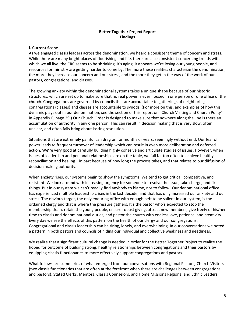#### **Better Together Project Report Findings**

#### **I. Current Scene**

As we engaged classis leaders across the denomination, we heard a consistent theme of concern and stress. While there are many bright places of flourishing and life, there are also consistent concerning trends with which we all live: the CRC seems to be shrinking, it's aging, it appears we're losing our young people, and resources for ministry are getting harder to come by. The more these realities characterize the denomination, the more they increase our concern and our stress, and the more they get in the way of the work of our pastors, congregations, and classes.

The growing anxiety within the denominational systems takes a unique shape because of our historic structures, which are set up to make sure that no real power is ever housed in one person or one office of the church. Congregations are governed by councils that are accountable to gatherings of neighboring congregations (classes) and classes are accountable to synods. (For more on this, and examples of how this dynamic plays out in our denomination, see the section of this report on "Church Visiting and Church Polity" in Appendix E, page 29.) Our Church Order is designed to make sure that nowhere along the line is there an accumulation of authority in any one person. This can result in decision making that is very slow, often unclear, and often fails bring about lasting resolution.

Situations that are extremely painful can drag on for months or years, seemingly without end. Our fear of power leads to frequent turnover of leadership which can result in even more deliberation and deferred action. We're very good at carefully building highly cohesive and articulate studies of issues. However, when issues of leadership and personal relationships are on the table, we fail far too often to achieve healthy reconciliation and healing—in part because of how long the process takes, and that relates to our diffusion of decision making authority.

When anxiety rises, our systems begin to show the symptoms. We tend to get critical, competitive, and resistant. We look around with increasing urgency for someone to resolve the issue, take charge, and fix things. But in our system we can't readily find anybody to blame, nor to follow! Our denominational office has experienced multiple leadership crises in the last decade, and that has only increased our anxiety and our stress. The obvious target, the only enduring office with enough heft to be salient in our system, is the ordained clergy and that is where the pressure gathers. It's the pastor who's expected to stop the membership drain, retain the young people, ensure robust giving, attract new members, give freely of his/her time to classis and denominational duties, and pastor the church with endless love, patience, and creativity. Every day we see the effects of this pattern on the health of our clergy and our congregations. Congregational and classis leadership can be tiring, lonely, and overwhelming. In our conversations we noted a pattern in both pastors and councils of hiding our individual and collective weakness and neediness.

We realize that a significant cultural change is needed in order for the Better Together Project to realize the hoped for outcome of building strong, healthy relationships between congregations and their pastors by equipping classis functionaries to more effectively support congregations and pastors.

What follows are summaries of what emerged from our conversations with Regional Pastors, Church Visitors (two classis functionaries that are often at the forefront when there are challenges between congregations and pastors), Stated Clerks, Mentors, Classis Counselors, and Home Missions Regional and Ethnic Leaders.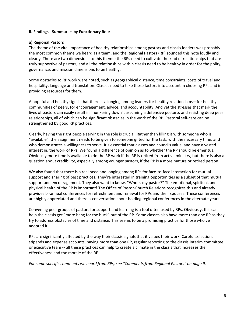#### **II. Findings - Summaries by Functionary Role**

#### **a) Regional Pastors**

The theme of the vital importance of healthy relationships among pastors and classis leaders was probably the most common theme we heard as a team, and the Regional Pastors (RP) sounded this note loudly and clearly. There are two dimensions to this theme: the RPs need to cultivate the kind of relationships that are truly supportive of pastors, and all the relationships within classis need to be healthy in order for the polity, governance, and mission dimensions to be healthy.

Some obstacles to RP work were noted, such as geographical distance, time constraints, costs of travel and hospitality, language and translation. Classes need to take these factors into account in choosing RPs and in providing resources for them.

A hopeful and healthy sign is that there is a longing among leaders for healthy relationships—for healthy communities of peers, for encouragement, advice, and accountability. And yet the stresses that mark the lives of pastors can easily result in "hunkering down", assuming a defensive posture, and resisting deep peer relationships, all of which can be significant obstacles in the work of the RP. Pastoral self-care can be strengthened by good RP practices.

Clearly, having the right people serving in the role is crucial. Rather than filling it with someone who is "available", the assignment needs to be given to someone gifted for the task, with the necessary time, and who demonstrates a willingness to serve. It's essential that classes and councils value, and have a vested interest in, the work of RPs. We found a difference of opinion as to whether the RP should be emeritus. Obviously more time is available to do the RP work if the RP is retired from active ministry, but there is also a question about credibility, especially among younger pastors, if the RP is a more mature or retired person.

We also found that there is a real need and longing among RPs for face-to-face interaction for mutual support and sharing of best practices. They're interested in training opportunities as a subset of that mutual support and encouragement. They also want to know, "Who is my pastor?" The emotional, spiritual, and physical health of the RP is important! The Office of Pastor-Church Relations recognizes this and already provides bi-annual conferences for refreshment and renewal for RPs and their spouses. These conferences are highly appreciated and there is conversation about holding regional conferences in the alternate years.

Convening peer groups of pastors for support and learning is a tool often used by RPs. Obviously, this can help the classis get "more bang for the buck" out of the RP. Some classes also have more than one RP as they try to address obstacles of time and distance. This seems to be a promising practice for those who've adopted it.

RPs are significantly affected by the way their classis signals that it values their work. Careful selection, stipends and expense accounts, having more than one RP, regular reporting to the classis interim committee or executive team -- all these practices can help to create a climate in the classis that increases the effectiveness and the morale of the RP.

For some specific comments we heard from RPs, see "Comments from Regional Pastors" on page 9.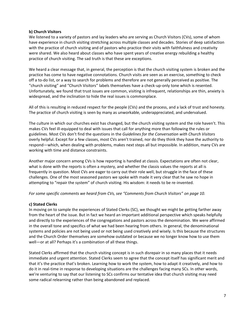#### **b) Church Visitors**

We listened to a variety of pastors and lay leaders who are serving as Church Visitors (CVs), some of whom have experience in church visiting stretching across multiple classes and decades. Stories of deep satisfaction with the practice of church visiting and of pastors who practice their visits with faithfulness and creativity were shared. We also heard about classes who have spent years of creative energy rebuilding a healthy practice of church visiting. The sad truth is that these are exceptions.

We heard a clear message that, in general, the perception is that the church visiting system is broken and the practice has come to have negative connotations. Church visits are seen as an exercise, something to check off a to-do list, or a way to search for problems and therefore are not generally perceived as positive. The "church visiting" and "Church Visitors" labels themselves have a check-up-only tone which is resented. Unfortunately, we found that trust issues are common, visiting is infrequent, relationships are thin, anxiety is widespread, and the inclination to hide the real issues is commonplace.

All of this is resulting in reduced respect for the people (CVs) and the process, and a lack of trust and honesty. The practice of church visiting is seen by many as unworkable, underappreciated, and undervalued.

The culture in which our churches exist has changed, but the church visiting system and the role haven't. This makes CVs feel ill-equipped to deal with issues that call for anything more than following the rules or guidelines. Most CVs don't find the questions in the *Guidelines for the Conversation with Church Visitors*  overly helpful. Except for a few classes, most CVs aren't trained, nor do they think they have the authority to respond—which, when dealing with problems, makes next steps all but impossible. In addition, many CVs are working with time and distance constraints.

Another major concern among CVs is how reporting is handled at classis. Expectations are often not clear, what is done with the reports is often a mystery, and whether the classis values the reports at all is frequently in question. Most CVs are eager to carry out their role well, but struggle in the face of these challenges. One of the most seasoned pastors we spoke with made it very clear that he saw no hope in attempting to "repair the system" of church visiting. His wisdom: it needs to be re-invented.

#### *For some specific comments we heard from CVs, see "Comments from Church Visitors" on page 10.*

#### **c) Stated Clerks**

In moving on to sample the experiences of Stated Clerks (SC), we thought we might be getting farther away from the heart of the issue. But in fact we heard an important additional perspective which speaks helpfully and directly to the experiences of the congregations and pastors across the denomination. We were affirmed in the overall tone and specifics of what we had been hearing from others. In general, the denominational systems and policies are not being used or not being used creatively and wisely. Is this because the structures and the Church Order themselves are somehow outdated or because we no longer know how to use them well—or at all? Perhaps it's a combination of all these things.

Stated Clerks affirmed that the church visiting concept is in such disrepair in so many places that it needs immediate and urgent attention. Stated Clerks seem to agree that the concept itself has significant merit and that it's the practice that's broken. Learning how to work the system, how to adapt it creatively, and how to do it in real-time in response to developing situations are the challenges facing many SCs. In other words, we're venturing to say that our listening to SCs confirms our tentative idea that church visiting may need some radical relearning rather than being abandoned and replaced.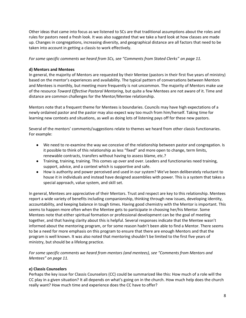Other ideas that came into focus as we listened to SCs are that traditional assumptions about the roles and rules for pastors need a fresh look. It was also suggested that we take a hard look at how classes are made up. Changes in congregations, increasing diversity, and geographical distance are all factors that need to be taken into account in getting a classis to work effectively.

*For some specific comments we heard from SCs, see "Comments from Stated Clerks" on page 11.*

#### **d) Mentors and Mentees**

In general, the majority of Mentors are requested by their Mentee (pastors in their first five years of ministry) based on the mentor's experiences and availability. The typical pattern of conversations between Mentors and Mentees is monthly, but meeting more frequently is not uncommon. The majority of Mentors make use of the resource *Toward Effective Pastoral Mentoring*, but quite a few Mentees are not aware of it. Time and distance are common challenges for the Mentor/Mentee relationship.

Mentors note that a frequent theme for Mentees is boundaries. Councils may have high expectations of a newly ordained pastor and the pastor may also expect way too much from him/herself. Taking time for learning new contexts and situations, as well as doing lots of listening pays off for these new pastors.

Several of the mentors' comments/suggestions relate to themes we heard from other classis functionaries. For example:

- We need to re-examine the way we conceive of the relationship between pastor and congregation. Is it possible to think of this relationship as less "fixed" and more open to change, term limits, renewable contracts, transfers without having to assess blame, etc.?
- Training, training, training. This comes up over and over. Leaders and functionaries need training, support, advice, and a context which is supportive and safe.
- How is authority and power perceived and used in our system? We've been deliberately reluctant to house it in individuals and instead have designed assemblies with power. This is a system that takes a special approach, value system, and skill set.

In general, Mentees are appreciative of their Mentors. Trust and respect are key to this relationship. Mentees report a wide variety of benefits including companionship, thinking through new issues, developing identity, accountability, and keeping balance in tough times. Having good chemistry with the Mentor is important. This seems to happen more often when the Mentee gets to participate in choosing her/his Mentor. Some Mentees note that either spiritual formation or professional development can be the goal of meeting together, and that having clarity about this is helpful. Several responses indicate that the Mentee wasn't informed about the mentoring program, or for some reason hadn't been able to find a Mentor. There seems to be a need for more emphasis on this program to ensure that there are enough Mentors and that the program is well known. It was also noted that mentoring shouldn't be limited to the first five years of ministry, but should be a lifelong practice.

*For some specific comments we heard from mentors (and mentees), see "Comments from Mentors and Mentees" on page 11.*

#### **e) Classis Counselors**

Perhaps the key issue for Classis Counselors (CC) could be summarized like this: How much of a role will the CC play in a given situation? It all depends on what's going on in the church. How much help does the church really want? How much time and experience does the CC have to offer?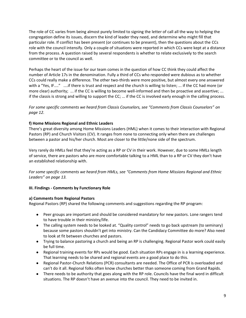The role of CC varies from being almost purely limited to signing the letter of call all the way to helping the congregation define its issues, discern the kind of leader they need, and determine who might fill that particular role. If conflict has been present (or continues to be present), then the questions about the CCs role with the council intensify. Only a couple of situations were reported in which CCs were kept at a distance from the process. A question raised by several respondents is whether to relate exclusively to the search committee or to the council as well.

Perhaps the heart of the issue for our team comes in the question of how CC think they could affect the number of Article 17s in the denomination. Fully a third of CCs who responded were dubious as to whether CCs could really make a difference. The other two-thirds were more positive, but almost every one answered with a "Yes, IF...." ....if there is trust and respect and the church is willing to listen; ... if the CC had more (or more clear) authority; ... if the CC is willing to become well-informed and then be proactive and assertive; ... if the classis is strong and willing to support the CC; ... if the CC is involved early enough in the calling process.

*For some specific comments we heard from Classis Counselors, see "Comments from Classis Counselors" on page 12.*

#### **f) Home Missions Regional and Ethnic Leaders**

There's great diversity among Home Missions Leaders (HML) when it comes to their interaction with Regional Pastors (RP) and Church Visitors (CV). It ranges from none to connecting only when there are challenges between a pastor and his/her church. Most are closer to the little/none side of the spectrum.

Very rarely do HMLs feel that they're acting as a RP or CV in their work. However, due to some HMLs length of service, there are pastors who are more comfortable talking to a HML than to a RP or CV they don't have an established relationship with.

*For some specific comments we heard from HMLs, see "Comments from Home Missions Regional and Ethnic Leaders" on page 13.*

#### **III. Findings - Comments by Functionary Role**

#### **a) Comments from Regional Pastors**

Regional Pastors (RP) shared the following comments and suggestions regarding the RP program:

- Peer groups are important and should be considered mandatory for new pastors. Lone rangers tend to have trouble in their ministry/life.
- The calling system needs to be looked at. "Quality control" needs to go back upstream (to seminary) because some pastors shouldn't get into ministry. Can the Candidacy Committee do more? Also need to look at fit between churches and pastors.
- Trying to balance pastoring a church and being an RP is challenging. Regional Pastor work could easily be full time.
- Regional training events for RPs would be good. Each situation RPs engage in is a learning experience. That learning needs to be shared and regional events are a good place to do this.
- Regional Pastor-Church Relations (PCR) consultants are needed. The Office of PCR is overloaded and can't do it all. Regional folks often know churches better than someone coming from Grand Rapids.
- There needs to be authority that goes along with the RP role. Councils have the final word in difficult situations. The RP doesn't have an avenue into the council. They need to be invited in.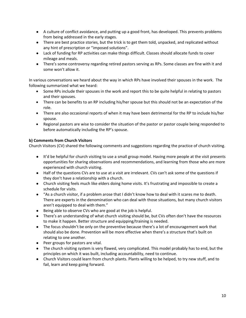- A culture of conflict avoidance, and putting up a good front, has developed. This prevents problems from being addressed in the early stages.
- There are best practice stories, but the trick is to get them told, unpacked, and replicated without any hint of prescription or "imposed solutions".
- Lack of funding for RP activities can make things difficult. Classes should allocate funds to cover mileage and meals.
- There's some controversy regarding retired pastors serving as RPs. Some classes are fine with it and some won't allow it.

In various conversations we heard about the way in which RPs have involved their spouses in the work. The following summarized what we heard:

- Some RPs include their spouses in the work and report this to be quite helpful in relating to pastors and their spouses.
- There can be benefits to an RP including his/her spouse but this should not be an expectation of the role.
- There are also occasional reports of when it may have been detrimental for the RP to include his/her spouse.
- Regional pastors are wise to consider the situation of the pastor or pastor couple being responded to before automatically including the RP's spouse.

#### **b) Comments from Church Visitors**

Church Visitors (CV) shared the following comments and suggestions regarding the practice of church visiting.

- It'd be helpful for church visiting to use a small group model. Having more people at the visit presents opportunities for sharing observations and recommendations, and learning from those who are more experienced with church visiting.
- Half of the questions CVs are to use at a visit are irrelevant. CVs can't ask some of the questions if they don't have a relationship with a church.
- Church visiting feels much like elders doing home visits. It's frustrating and impossible to create a schedule for visits.
- "As a church visitor, if a problem arose that I didn't know how to deal with it scares me to death. There are experts in the denomination who can deal with those situations, but many church visitors aren't equipped to deal with them."
- Being able to observe CVs who are good at the job is helpful.
- There's an understanding of what church visiting should be, but CVs often don't have the resources to make it happen. Better structure and equipping/training is needed.
- The focus shouldn't be only on the preventive because there's a lot of encouragement work that should also be done. Prevention will be more effective when there's a structure that's built on relating to one another.
- Peer groups for pastors are vital.
- The church visiting system is very flawed, very complicated. This model probably has to end, but the principles on which it was built, including accountability, need to continue.
- Church Visitors could learn from church plants. Plants willing to be helped, to try new stuff, and to fail, learn and keep going forward.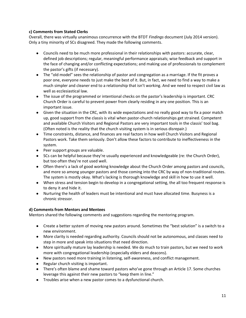#### **c) Comments from Stated Clerks**

Overall, there was virtually unanimous concurrence with the BTDT *Findings* document (July 2014 version). Only a tiny minority of SCs disagreed. They made the following comments.

- Councils need to be much more professional in their relationships with pastors: accurate, clear, defined job descriptions; regular, meaningful performance appraisals; wise feedback and support in the face of changing and/or conflicting expectations; and making use of professionals to complement the pastor's gifts (if necessary).
- The "old model" sees the relationship of pastor and congregation as a marriage. If the fit proves a poor one, everyone needs to just make the best of it. But, in fact, we need to find a way to make a much simpler and cleaner end to a relationship that isn't working. And we need to respect civil law as well as ecclesiastical law.
- The issue of the programmed or intentional checks on the pastor's leadership is important. CRC Church Order is careful to prevent power from clearly residing in any one position. This is an important issue.
- Given the situation in the CRC, with its wide expectations and no really good way to fix a poor match up, good support from the classis is vital when pastor-church relationships get strained. Competent and available Church Visitors and Regional Pastors are very important tools in the classis' tool bag. (Often noted is the reality that the church visiting system is in serious disrepair.)
- Time constraints, distance, and finances are real factors in how well Church Visitors and Regional Pastors work. Take them seriously. Don't allow these factors to contribute to ineffectiveness in the system.
- Peer support groups are valuable.
- SCs can be helpful because they're usually experienced and knowledgeable (re: the Church Order), but too often they're not used well.
- Often there's a lack of good working knowledge about the Church Order among pastors and councils, and more so among younger pastors and those coming into the CRC by way of non-traditional routes. The system is mostly okay. What's lacking is thorough knowledge and skill in how to use it well.
- When stress and tension begin to develop in a congregational setting, the all too frequent response is to deny it and hide it.
- Nurturing the health of leaders must be intentional and must have allocated time. Busyness is a chronic stressor.

#### **d) Comments from Mentors and Mentees**

Mentors shared the following comments and suggestions regarding the mentoring program.

- Create a better system of moving new pastors around. Sometimes the "best solution" is a switch to a new environment.
- More clarity is needed regarding authority. Councils should not be autonomous, and classes need to step in more and speak into situations that need direction.
- More spiritually mature lay leadership is needed. We do much to train pastors, but we need to work more with congregational leadership (especially elders and deacons).
- New pastors need more training in listening, self-awareness, and conflict management.
- Regular church visiting is important.
- There's often blame and shame toward pastors who've gone through an Article 17. Some churches leverage this against their new pastors to "keep them in line."
- Troubles arise when a new pastor comes to a dysfunctional church.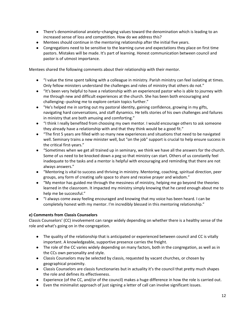- There's denominational anxiety–changing values toward the denomination which is leading to an increased sense of loss and competition. How do we address this?
- Mentees should continue in the mentoring relationship after the initial five years.
- Congregations need to be sensitive to the learning curve and expectations they place on first time pastors. Mistakes will be made. It's part of learning. Honest communication between council and pastor is of utmost importance.

Mentees shared the following comments about their relationship with their mentor.

- "I value the time spent talking with a colleague in ministry. Parish ministry can feel isolating at times. Only fellow ministers understand the challenges and roles of ministry that others do not."
- "It's been very helpful to have a relationship with an experienced pastor who is able to journey with me through new and difficult experiences at the church. She has been both encouraging and challenging--pushing me to explore certain topics further."
- "He's helped me in sorting out my pastoral identity, gaining confidence, growing in my gifts, navigating hard conversations, and staff dynamics. He tells stories of his own challenges and failures in ministry that are both amusing and comforting."
- "I think I really benefited from choosing my own mentor. I would encourage others to ask someone they already have a relationship with and that they think would be a good fit."
- "The first 5 years are filled with so many new experiences and situations that need to be navigated well. Seminary trains a new minister well, but "on the job" support is crucial to help ensure success in the critical first-years."
- "Sometimes when we get all trained up in seminary, we think we have all the answers for the church. Some of us need to be knocked down a peg so that ministry can start. Others of us constantly feel inadequate to the tasks and a mentor is helpful with encouraging and reminding that there are not always answers."
- "Mentoring is vital to success and thriving in ministry. Mentoring, coaching, spiritual direction, peer groups, any form of creating safe space to share and receive prayer and wisdom."
- "My mentor has guided me through the messiness of ministry, helping me go beyond the theories learned in the classroom. It impacted my ministry simply knowing that he cared enough about me to help me be successful."
- "I always come away feeling encouraged and knowing that my voice has been heard. I can be completely honest with my mentor. I'm incredibly blessed in this mentoring relationship."

#### **e) Comments from Classis Counselors**

Classis Counselors' (CC) involvement can range widely depending on whether there is a healthy sense of the role and what's going on in the congregation.

- The quality of the relationship that is anticipated or experienced between council and CC is vitally important. A knowledgeable, supportive presence carries the freight.
- The role of the CC varies widely depending on many factors, both in the congregation, as well as in the CCs own personality and style.
- Classis Counselors may be selected by classis, requested by vacant churches, or chosen by geographical proximity.
- Classis Counselors are classis functionaries but in actuality it's the council that pretty much shapes the role and defines its effectiveness.
- Experience (of the CC, and/or of the council) makes a huge difference in how the role is carried out.
- Even the minimalist approach of just signing a letter of call can involve significant issues.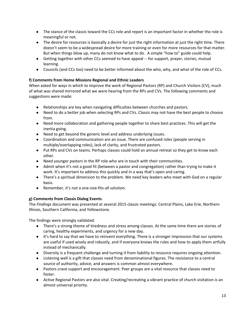- The stance of the classis toward the CCs role and report is an important factor in whether the role is meaningful or not.
- The desire for resources is basically a desire for just the right information at just the right time. There doesn't seem to be a widespread desire for more training or even for more resources for that matter. But when things blow up, many do not know what to do. A simple "how to" guide could help.
- Getting together with other CCs seemed to have appeal -- for support, prayer, stories, mutual learning.
- Councils (and CCs too) need to be better informed about the who, why, and what of the role of CCs.

### **f) Comments from Home Missions Regional and Ethnic Leaders**

When asked for ways in which to improve the work of Regional Pastors (RP) and Church Visitors (CV), much of what was shared mirrored what we were hearing from the RPs and CVs. The following comments and suggestions were made:

- Relationships are key when navigating difficulties between churches and pastors.
- Need to do a better job when selecting RPs and CVs. Classis may not have the best people to choose from.
- Need more collaboration and gathering people together to share best practices. This will get the inertia going.
- Need to get beyond the generic level and address underlying issues.
- Coordination and communication are an issue. There are confused roles (people serving in multiple/overlapping roles), lack of clarity, and frustrated pastors.
- Put RPs and CVs on teams. Perhaps classes could hold an annual retreat so they get to know each other.
- Need younger pastors in the RP role who are in touch with their communities.
- Admit when it's not a good fit (between a pastor and congregation) rather than trying to make it work. It's important to address this quickly and in a way that's open and caring.
- There's a spiritual dimension to the problem. We need key leaders who meet with God on a regular basis.
- Remember, it's not a one-size-fits-all solution.

#### **g) Comments from Classis Dialog Events**

The *Findings* document was presented at several 2015 classis meetings: Central Plains, Lake Erie, Northern Illinois, Southern California, and Yellowstone.

The findings were strongly validated.

- There's a strong theme of tiredness and stress among classes. At the same time there are stories of caring, healthy experiments, and urgency for a new day.
- It's hard to say that we have to reinvent everything. There is a stronger impression that our systems are useful if used wisely and robustly, and if everyone knows the rules and how to apply them artfully instead of mechanically.
- Diversity is a frequent challenge and turning it from liability to resource requires ongoing attention.
- Listening well is a gift that classes need from denominational figures. The resistance to a central source of authority, advice, and answers is common almost everywhere.
- Pastors crave support and encouragement. Peer groups are a vital resource that classes need to foster.
- Active Regional Pastors are also vital. Creating/recreating a vibrant practice of church visitation is an almost universal priority.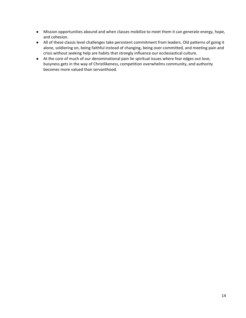- Mission opportunities abound and when classes mobilize to meet them it can generate energy, hope, and cohesion.
- All of these classis level challenges take persistent commitment from leaders. Old patterns of going it alone, soldiering on, being faithful instead of changing, being over-committed, and meeting pain and crisis without seeking help are habits that strongly influence our ecclesiastical culture.
- At the core of much of our denominational pain lie spiritual issues where fear edges out love, busyness gets in the way of Christlikeness, competition overwhelms community, and authority becomes more valued than servanthood.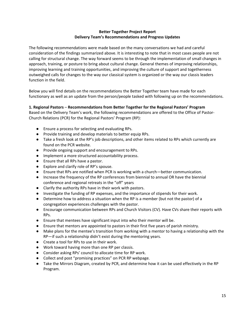#### **Better Together Project Report Delivery Team's Recommendations and Progress Updates**

The following recommendations were made based on the many conversations we had and careful consideration of the findings summarized above. It is interesting to note that in most cases people are not calling for structural change. The way forward seems to be through the implementation of small changes in approach, training, or posture to bring about cultural change. General themes of improving relationships, improving learning and training opportunities, and improving the culture of support and togetherness outweighed calls for changes to the way our classical system is organized or the way our classis leaders function in the field.

Below you will find details on the recommendations the Better Together team have made for each functionary as well as an update from the person/people tasked with following up on the recommendations.

#### **1. Regional Pastors** – **Recommendations from Better Together for the Regional Pastors' Program**

Based on the Delivery Team's work, the following recommendations are offered to the Office of Pastor-Church Relations (PCR) for the Regional Pastors' Program (RP):

- Ensure a process for selecting and evaluating RPs.
- Provide training and develop materials to better equip RPs.
- Take a fresh look at the RP's job descriptions, and other items related to RPs which currently are found on the PCR website.
- Provide ongoing support and encouragement to RPs.
- Implement a more structured accountability process.
- Ensure that all RPs have a pastor.
- Explore and clarify role of RP's spouse.
- Ensure that RPs are notified when PCR is working with a church—better communication.
- Increase the frequency of the RP conferences from biennial to annual OR have the biennial conference and regional retreats in the "off" years
- Clarify the authority RPs have in their work with pastors.
- Investigate the funding of RP expenses, and the importance of stipends for their work.
- Determine how to address a situation when the RP is a member (but not the pastor) of a congregation experiences challenges with the pastor.
- Encourage communication between RPs and Church Visitors (CV). Have CVs share their reports with RPs.
- Ensure that mentees have significant input into who their mentor will be.
- Ensure that mentors are appointed to pastors in their first five years of parish ministry.
- Make plans for the mentee's transition from working with a mentor to having a relationship with the RP—if such a relationship didn't exist during the mentoring years.
- Create a tool for RPs to use in their work.
- Work toward having more than one RP per classis.
- Consider asking RPs' council to allocate time for RP work.
- Collect and post "promising practices" on PCR RP webpage.
- Take the Mirrors Diagram, created by PCR, and determine how it can be used effectively in the RP Program.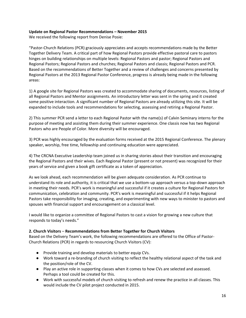#### **Update on Regional Pastor Recommendations – November 2015**

We received the following report from Denise Posie:

"Pastor-Church Relations (PCR) graciously appreciates and accepts recommendations made by the Better Together Delivery Team. A critical part of how Regional Pastors provide effective pastoral care to pastors hinges on building relationships on multiple levels: Regional Pastors and pastor; Regional Pastors and Regional Pastors; Regional Pastors and churches; Regional Pastors and classis; Regional Pastors and PCR. Based on the recommendations of Better Together and a review of challenges and concerns presented by Regional Pastors at the 2013 Regional Pastor Conference, progress is already being made in the following areas:

1) A google site for Regional Pastors was created to accommodate sharing of documents, resources, listing of all Regional Pastors and Mentor assignments. An introductory letter was sent in the spring and it created some positive interaction. A significant number of Regional Pastors are already utilizing this site. It will be expanded to include tools and recommendations for selecting, assessing and retiring a Regional Pastor.

2) This summer PCR send a letter to each Regional Pastor with the name(s) of Calvin Seminary interns for the purpose of meeting and assisting them during their summer experience. One classis now has two Regional Pastors who are People of Color. More diversity will be encouraged.

3) PCR was highly encouraged by the evaluation forms received at the 2015 Regional Conference. The plenary speaker, worship, free time, fellowship and continuing education were appreciated.

4) The CRCNA Executive Leadership team joined us in sharing stories about their transition and encouraging the Regional Pastors and their wives. Each Regional Pastor (present or not present) was recognized for their years of service and given a book gift certificate as a token of appreciation.

As we look ahead, each recommendation will be given adequate consideration. As PCR continue to understand its role and authority, it is critical that we use a bottom-up approach versus a top-down approach in meeting their needs. PCR's work is meaningful and successful if it creates a culture for Regional Pastors for communication, celebration and community. PCR's work is meaningful and successful if it helps Regional Pastors take responsibility for imaging, creating, and experimenting with new ways to minister to pastors and spouses with financial support and encouragement on a classical level.

I would like to organize a committee of Regional Pastors to cast a vision for growing a new culture that responds to today's needs."

#### **2. Church Visitors** – **Recommendations from Better Together for Church Visitors**

Based on the Delivery Team's work, the following recommendations are offered to the Office of Pastor-Church Relations (PCR) in regards to resourcing Church Visitors (CV):

- Provide training and develop materials to better equip CVs.
- Work toward a re-branding of church visiting to reflect the healthy relational aspect of the task and the position/role of the CV.
- Play an active role in supporting classes when it comes to how CVs are selected and assessed. Perhaps a tool could be created for this.
- Work with successful models of church visiting to refresh and renew the practice in all classes. This would include the CV pilot project conducted in 2015.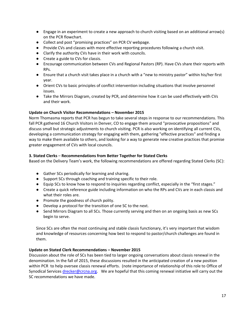- Engage in an experiment to create a new approach to church visiting based on an additional arrow(s) on the PCR flowchart.
- Collect and post "promising practices" on PCR CV webpage.
- Provide CVs and classes with more effective reporting procedures following a church visit.
- Clarify the authority CVs have in their work with councils.
- Create a guide to CVs for classis.
- Encourage communication between CVs and Regional Pastors (RP). Have CVs share their reports with RPs.
- Ensure that a church visit takes place in a church with a "new to ministry pastor" within his/her first year.
- Orient CVs to basic principles of conflict intervention including situations that involve personnel issues.
- Take the Mirrors Diagram, created by PCR, and determine how it can be used effectively with CVs and their work.

#### **Update on Church Visitor Recommendations – November 2015**

Norm Thomasma reports that PCR has begun to take several steps in response to our recommendations. This fall PCR gathered 16 Church Visitors in Denver, CO to engage them around "provocative propositions" and discuss small but strategic adjustments to church visiting. PCR is also working on identifying all current CVs, developing a communication strategy for engaging with them, gathering "effective practices" and finding a way to make them available to others, and looking for a way to generate new creative practices that promise greater engagement of CVs with local councils.

#### **3. Stated Clerks** – **Recommendations from Better Together for Stated Clerks**

Based on the Delivery Team's work, the following recommendations are offered regarding Stated Clerks (SC):

- Gather SCs periodically for learning and sharing.
- Support SCs through coaching and training specific to their role.
- Equip SCs to know how to respond to inquiries regarding conflict, especially in the "first stages."
- Create a quick reference guide including information on who the RPs and CVs are in each classis and what their roles are.
- Promote the goodness of church polity.
- Develop a protocol for the transition of one SC to the next.
- Send Mirrors Diagram to all SCs. Those currently serving and then on an ongoing basis as new SCs begin to serve.

Since SCs are often the most continuing and stable classis functionary, it's very important that wisdom and knowledge of resources concerning how best to respond to pastor/church challenges are found in them.

#### **Update on Stated Clerk Recommendations – November 2015**

Discussion about the role of SCs has been tied to larger ongoing conversations about classis renewal in the denomination. In the fall of 2015, these discussions resulted in the anticipated creation of a new position within PCR to help oversee classis renewal efforts. (note importance of relationship of this role to Office of Synodical Services [drecker@crcna.org.](mailto:drecker@crcna.org) We are hopeful that this coming renewal initiative will carry out the SC recommendations we have made.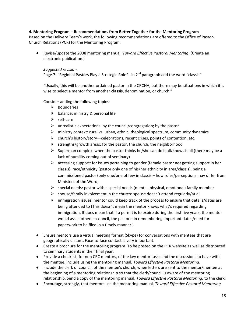#### **4. Mentoring Program – Recommendations from Better Together for the Mentoring Program**

Based on the Delivery Team's work, the following recommendations are offered to the Office of Pastor-Church Relations (PCR) for the Mentoring Program.

● Revise/update the 2008 mentoring manual, *Toward Effective Pastoral Mentoring*. (Create an electronic publication.)

#### *Suggested revision:*

Page 7: "Regional Pastors Play a Strategic Role"– in  $2^{nd}$  paragraph add the word "classis"

"Usually, this will be another ordained pastor in the CRCNA, but there may be situations in which it is wise to select a mentor from another **classis**, denomination, or church."

Consider adding the following topics:

- $\triangleright$  Boundaries
- $\triangleright$  balance: ministry & personal life
- $\triangleright$  self-care
- $\triangleright$  unrealistic expectations: by the council/congregation; by the pastor
- $\triangleright$  ministry context: rural vs. urban, ethnic, theological spectrum, community dynamics
- church's history/story—celebrations, recent crises, points of contention, etc.
- $\triangleright$  strengths/growth areas: for the pastor, the church, the neighborhood
- $\triangleright$  Superman complex: when the pastor thinks he/she can do it all/knows it all (there may be a lack of humility coming out of seminary)
- $\triangleright$  accessing support: for issues pertaining to gender (female pastor not getting support in her classis), race/ethnicity (pastor only one of his/her ethnicity in area/classis), being a commissioned pastor (only one/one of few in classis – how roles/perceptions may differ from Ministers of the Word)
- $\triangleright$  special needs: pastor with a special needs (mental, physical, emotional) family member
- $\triangleright$  spouse/family involvement in the church: spouse doesn't attend regularly/at all
- $\triangleright$  immigration issues: mentor could keep track of the process to ensure that details/dates are being attended to (This doesn't mean the mentor knows what's required regarding immigration. It does mean that if a permit is to expire during the first five years, the mentor would assist others—council, the pastor—in remembering important dates/need for paperwork to be filed in a timely manner.)
- Ensure mentors use a virtual meeting format (Skype) for conversations with mentees that are geographically distant. Face-to-face contact is very important.
- Create a brochure for the mentoring program. To be posted on the PCR website as well as distributed to seminary students in their final year.
- Provide a checklist, for non CRC mentors, of the key mentor tasks and the discussions to have with the mentee. Include using the mentoring manual, *Toward Effective Pastoral Mentoring*.
- Include the clerk of council, of the mentee's church, when letters are sent to the mentor/mentee at the beginning of a mentoring relationship so that the clerk/council is aware of the mentoring relationship. Send a copy of the mentoring manual, *Toward Effective Pastoral Mentoring,* to the clerk.
- Encourage, strongly, that mentors use the mentoring manual, *Toward Effective Pastoral Mentoring.*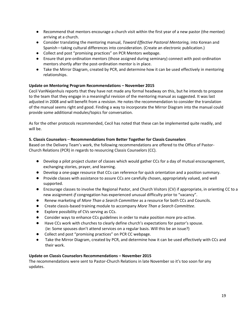- Recommend that mentors encourage a church visit within the first year of a new pastor (the mentee) arriving at a church.
- Consider translating the mentoring manual, *Toward Effective Pastoral Mentoring,* into Korean and Spanish—taking cultural differences into consideration. (Create an electronic publication.)
- Collect and post "promising practices" on PCR Mentors webpage.
- Ensure that pre-ordination mentors (those assigned during seminary) connect with post-ordination mentors shortly after the post-ordination mentor is in place.
- Take the Mirror Diagram, created by PCR, and determine how it can be used effectively in mentoring relationships.

#### **Update on Mentoring Program Recommendations – November 2015**

Cecil VanNiejenhuis reports that they have not made any formal headway on this, but he intends to propose to the team that they engage in a meaningful revision of the mentoring manual as suggested. It was last adjusted in 2008 and will benefit from a revision. He notes the recommendation to consider the translation of the manual seems right and good. Finding a way to incorporate the Mirror Diagram into the manual could provide some additional modules/topics for conversation.

As for the other protocols recommended, Cecil has noted that these can be implemented quite readily, and will be.

#### **5. Classis Counselors** – **Recommendations from Better Together for Classis Counselors**

Based on the Delivery Team's work, the following recommendations are offered to the Office of Pastor-Church Relations (PCR) in regards to resourcing Classis Counselors (CC).

- Develop a pilot project cluster of classes which would gather CCs for a day of mutual encouragement, exchanging stories, prayer, and learning.
- Develop a one-page resource that CCs can reference for quick orientation and a position summary.
- Provide classes with assistance to assure CCs are carefully chosen, appropriately valued, and well supported.
- Encourage classes to involve the Regional Pastor, and Church Visitors (CV) if appropriate, in orienting CC to a new assignment *if* congregation has experienced unusual difficulty prior to "vacancy".
- Renew marketing of *More Than a Search Committee* as a resource for both CCs and Councils.
- Create classis-based training module to accompany *More Than a Search Committee*.
- Explore possibility of CVs serving as CCs.
- Consider ways to enhance CCs guidelines in order to make position more pro-active.
- Have CCs work with churches to clearly define church's expectations for pastor's spouse. (ie: Some spouses don't attend services on a regular basis. Will this be an issue?)
- Collect and post "promising practices" on PCR CC webpage.
- Take the Mirror Diagram, created by PCR, and determine how it can be used effectively with CCs and their work.

#### **Update on Classis Counselors Recommendations – November 2015**

The recommendations were sent to Pastor-Church Relations in late November so it's too soon for any updates.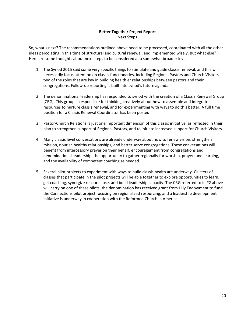#### **Better Together Project Report Next Steps**

So, what's next? The recommendations outlined above need to be processed, coordinated with all the other ideas percolating in this time of structural and cultural renewal, and implemented wisely. But what else? Here are some thoughts about next steps to be considered at a somewhat broader level.

- 1. The Synod 2015 said some very specific things to stimulate and guide classis renewal, and this will necessarily focus attention on classis functionaries, including Regional Pastors and Church Visitors, two of the roles that are key in building healthier relationships between pastors and their congregations. Follow-up reporting is built into synod's future agenda.
- 2. The denominational leadership has responded to synod with the creation of a Classis Renewal Group (CRG). This group is responsible for thinking creatively about how to assemble and integrate resources to nurture classis renewal, and for experimenting with ways to do this better. A full time position for a Classis Renewal Coordinator has been posted.
- 3. Pastor-Church Relations is just one important dimension of this classis initiative, as reflected in their plan to strengthen support of Regional Pastors, and to initiate increased support for Church Visitors.
- 4. Many classis level conversations are already underway about how to renew vision, strengthen mission, nourish healthy relationships, and better serve congregations. These conversations will benefit from intercessory prayer on their behalf, encouragement from congregations and denominational leadership, the opportunity to gather regionally for worship, prayer, and learning, and the availability of competent coaching as needed.
- 5. Several pilot projects to experiment with ways to build classis health are underway. Clusters of classes that participate in the pilot projects will be able together to explore opportunities to learn, get coaching, synergize resource use, and build leadership capacity. The CRG referred to in #2 above will carry on one of these pilots; the denomination has received grant from Lilly Endowment to fund the Connections pilot project focusing on regionalized resourcing, and a leadership development initiative is underway in cooperation with the Reformed Church in America.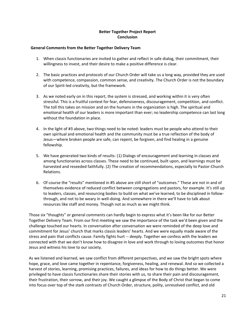#### **Better Together Project Report Conclusion**

#### **General Comments from the Better Together Delivery Team**

- 1. When classis functionaries are invited to gather and reflect in safe dialog, their commitment, their willingness to invest, and their desire to make a positive difference is clear.
- 2. The basic practices and protocols of our Church Order will take us a long way, provided they are used with competence, compassion, common sense, and creativity. The Church Order is not the boundary of our Spirit-led creativity, but the framework.
- 3. As we noted early on in this report, the system is stressed, and working within it is very often stressful. This is a fruitful context for fear, defensiveness, discouragement, competition, and conflict. The toll this takes on mission and on the humans in the organization is high. The spiritual and emotional health of our leaders is more important than ever; no leadership competence can last long without the foundation in place.
- 4. In the light of #3 above, two things need to be noted: leaders must be people who attend to their own spiritual and emotional health and the community must be a true reflection of the body of Jesus—where broken people are safe, can repent, be forgiven, and find healing in a genuine fellowship.
- 5. We have generated two kinds of results: (1) Dialogs of encouragement and learning in classes and among functionaries across classes. These need to be continued, built upon, and learnings must be harvested and reseeded faithfully. (2) The creation of recommendations, especially to Pastor-Church Relations.
- 6. Of course the "results" mentioned in #5 above are still short of "outcomes." These are not in and of themselves evidence of reduced conflict between congregations and pastors, for example. It's still up to leaders, classes, and resourcing bodies to build on what we've learned, to be disciplined in followthrough, and not to be weary in well-doing. And somewhere in there we'll have to talk about resources like staff and money. Though not as much as we might think.

Those six "thoughts" or general comments can hardly begin to express what it's been like for our Better Together Delivery Team. From our first meeting we saw the importance of the task we'd been given and the challenge touched our hearts. In conversation after conversation we were reminded of the deep love and commitment for Jesus' church that marks classis leaders' hearts. And we were equally made aware of the stress and pain that conflicts cause. Family fights hurt -- deeply. Together we confess with the leaders we connected with that we don't know how to disagree in love and work through to loving outcomes that honor Jesus and witness his love to our society.

As we listened and learned, we saw conflict from different perspectives, and we saw the bright spots where hope, grace, and love came together in repentance, forgiveness, healing, and renewal. And so we collected a harvest of stories, learning, promising practices, failures, and ideas for how to do things better. We were privileged to have classis functionaries share their stories with us, to share their pain and discouragement, their frustration, their sorrow, and their joy. We caught a glimpse of the Body of Christ that began to come into focus over top of the stark contrasts of Church Order, structure, polity, unresolved conflict, and old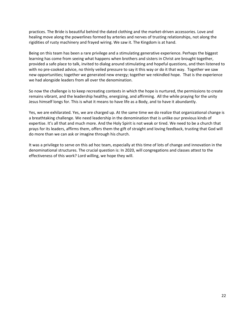practices. The Bride is beautiful behind the dated clothing and the market-driven accessories. Love and healing move along the powerlines formed by arteries and nerves of trusting relationships, not along the rigidities of rusty machinery and frayed wiring. We saw it. The Kingdom is at hand.

Being on this team has been a rare privilege and a stimulating generative experience. Perhaps the biggest learning has come from seeing what happens when brothers and sisters in Christ are brought together, provided a safe place to talk, invited to dialog around stimulating and hopeful questions, and then listened to with no pre-cooked advice, no thinly veiled pressure to say it this way or do it that way. Together we saw new opportunities; together we generated new energy; together we rekindled hope. That is the experience we had alongside leaders from all over the denomination.

So now the challenge is to keep recreating contexts in which the hope is nurtured, the permissions to create remains vibrant, and the leadership healthy, energizing, and affirming. All the while praying for the unity Jesus himself longs for. This is what it means to have life as a Body, and to have it abundantly.

Yes, we are exhilarated. Yes, we are charged up. At the same time we do realize that organizational change is a breathtaking challenge. We need leadership in the denomination that is unlike our previous kinds of expertise. It's all that and much more. And the Holy Spirit is not weak or tired. We need to be a church that prays for its leaders, affirms them, offers them the gift of straight and loving feedback, trusting that God will do more than we can ask or imagine through his church.

It was a privilege to serve on this ad hoc team, especially at this time of lots of change and innovation in the denominational structures. The crucial question is: In 2020, will congregations and classes attest to the effectiveness of this work? Lord willing, we hope they will.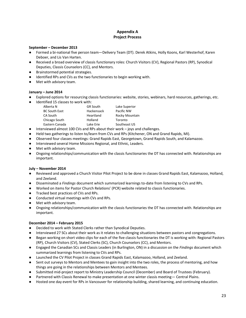#### **Appendix A Project Process**

#### **September – December 2013**

- Formed a bi-national five person team—Delivery Team (DT). Derek Atkins, Holly Koons, Karl Westerhof, Karen Deboer, and Lis Van Harten.
- Received a broad overview of classis functionary roles: Church Visitors (CV), Regional Pastors (RP), Synodical Deputies, Classis Counselors (CC), and Mentors.
- Brainstormed potential strategies.
- Identified RPs and CVs as the two functionaries to begin working with.
- Met with advisory team.

#### **January – June 2014**

- Explored options for resourcing classis functionaries: website, stories, webinars, hard resources, gatherings, etc.
- Identified 15 classes to work with:

| Alberta N            | <b>GR South</b> | Lake Superior  |
|----------------------|-----------------|----------------|
| <b>BC South East</b> | Hackensack      | Pacific NW     |
| CA South             | Heartland       | Rocky Mountain |
| Chicago South        | Holland         | Toronto        |
| Eastern Canada       | Lake Erie       | Southeast US   |

- Interviewed almost 100 CVs and RPs about their work joys and challenges.
- Held two gatherings to listen to/learn from CVs and RPs (Kitchener, ON and Grand Rapids, MI).
- Observed four classes meetings: Grand Rapids East, Georgetown, Grand Rapids South, and Kalamazoo.
- Interviewed several Home Missions Regional, and Ethnic, Leaders.
- Met with advisory team.
- Ongoing relationships/communication with the classis functionaries the DT has connected with. Relationships are important.

#### **July – November 2014**

- Reviewed and approved a Church Visitor Pilot Project to be done in classes Grand Rapids East, Kalamazoo, Holland, and Zeeland.
- Disseminated a *Findings* document which summarized learnings to-date from listening to CVs and RPs.
- Worked on items for Pastor Church Relations' (PCR) website related to classis functionaries.
- Tracked best practices of CVs and RPs.
- Conducted virtual meetings with CVs and RPs.
- Met with advisory team.
- Ongoing relationships/communication with the classis functionaries the DT has connected with. Relationships are important.

#### **December 2014 – February 2015**

- Decided to work with Stated Clerks rather than Synodical Deputies.
- Interviewed 27 SCs about their work as it relates to challenging situations between pastors and congregations.
- Began working on short video clips for each of the five classis functionaries the DT is working with: Regional Pastors (RP), Church Visitors (CV), Stated Clerks (SC), Church Counselors (CC), and Mentors.
- Engaged the Canadian SCs and Classis Leaders (in Burlington, ON) in a discussion on the *Findings* document which summarized learnings from listening to CVs and RPs.
- Launched the CV Pilot Project in classes Grand Rapids East, Kalamazoo, Holland, and Zeeland.
- Sent out surveys to Mentors and Mentees to gain insight into the two roles, the process of mentoring, and how things are going in the relationships between Mentors and Mentees.
- Submitted mid-project report to Ministry Leadership Council (December) and Board of Trustees (February).
- Partnered with Classis Renewal to make presentation at one winter classis meeting— Central Plains.
- Hosted one day event for RPs in Vancouver for relationship building, shared learning, and continuing education.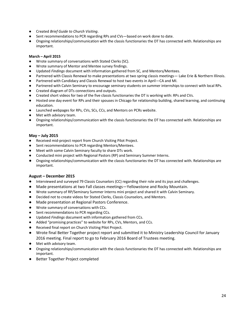- Created *Brief Guide to Church Visiting*.
- Sent recommendations to PCR regarding RPs and CVs—based on work done to date.
- Ongoing relationships/communication with the classis functionaries the DT has connected with. Relationships are important.

#### **March – April 2015**

- Wrote summary of conversations with Stated Clerks (SC).
- Wrote summary of Mentor and Mentee survey findings.
- Updated *Findings* document with information gathered from SC, and Mentors/Mentees.
- Partnered with Classis Renewal to make presentations at two spring classis meetings— Lake Erie & Northern Illinois.
- Partnered with Candidacy and Classis Renewal to host two events in April—CA and MI.
- Partnered with Calvin Seminary to encourage seminary students on summer internships to connect with local RPs.
- Created diagram of DTs connections and outputs.
- Created short videos for two of the five classis functionaries the DT is working with: RPs and CVs.
- Hosted one day event for RPs and their spouses in Chicago for relationship building, shared learning, and continuing education.
- Launched webpages for RPs, CVs, SCs, CCs, and Mentors on PCRs website.
- Met with advisory team.
- Ongoing relationships/communication with the classis functionaries the DT has connected with. Relationships are important.

#### **May – July 2015**

- Received mid-project report from Church Visiting Pilot Project.
- Sent recommendations to PCR regarding Mentors/Mentees.
- Meet with some Calvin Seminary faculty to share DTs work.
- Conducted mini project with Regional Pastors (RP) and Seminary Summer Interns.
- Ongoing relationships/communication with the classis functionaries the DT has connected with. Relationships are important.

#### **August – December 2015**

- Interviewed and surveyed 79 Classis Counselors (CC) regarding their role and its joys and challenges.
- Made presentations at two Fall classes meetings—Yellowstone and Rocky Mountain.
- Wrote summary of RP/Seminary Summer Interns mini project and shared it with Calvin Seminary.
- Decided not to create videos for Stated Clerks, Classis Counselors, and Mentors.
- Made presentation at Regional Pastors Conference.
- Wrote summary of conversations with CCs.
- Sent recommendations to PCR regarding CCs.
- Updated *Findings* document with information gathered from CCs.
- Added "promising practices" to website for RPs, CVs, Mentors, and CCs.
- Received final report on Church Visiting Pilot Project.
- Wrote final Better Together project report and submitted it to Ministry Leadership Council for January 2016 meeting. Final report to go to February 2016 Board of Trustees meeting.
- Met with advisory team.
- Ongoing relationships/communication with the classis functionaries the DT has connected with. Relationships are important.
- Better Together Project completed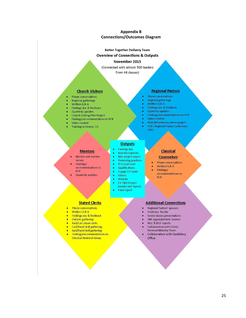#### **Appendix B Connections/Outcomes Diagram**

#### **Better Together Delivery Team**

#### **Overview of Connections & Outputs**

#### November 2015

(Connected with almost 500 leaders)

from 44 classes)

#### **Church Visitors**

- Phone conversations
- **Regional gatherings**
- Written  $Q$  & A
- Findings doc & feedback **Quarterly updates**
- **Church Visiting Pilot Project**
- Findings/recommendations to PCR
- Video created
- Training in Denver, CO

#### **Regional Pastors**

- Phone conversations
- **Regional gatherings**
- Written  $Q$  & A
- Findings doc & feedback
- Quarterly updates
- Findings/recommendations to PCR
- Video created
- Mini RP/seminary intern project **PCR's Regional Pastor Conference**
- 2015

#### **Mentors**

- Mentor and mentee survey
- Findings/ recommendations to **PCR**
- Quarterly updates
	-
- Website CV Pilot Project

 $\bullet$ 

ö

۰

 $\bullet$ 

 $\bullet$ 

۰

۰

(model and report)

Videos

**Final report** 

**Outputs Findings doc** 

Role descriptions

Mid-project report

**Promising practices** 

PCR oval chart

Qualifications

1-page CV Guide

### **Classical Counselors**

- Phone conversations  $\bullet$
- Written Q & A
- Findings/ recommendations to PCR

#### **Stated Clerks**

- Phone conversations
- Written Q & A
- Findings doc & feedback
- Ontario gathering
- Karl/Carl classis visits
- Carl/David Koll gathering
- Karl/David Koll gathering
- Findings/recommendations to **Classical Renewal Group**

#### **Additional Connections**

- Regional Pastors' spouses
- Seminary faculty
- Seven classes presentations
- HM regional/ethnic leaders
- MLC & BOT reports
- **Collaboration with Classis** Renewal Ministry Team
- Collaboration with Candidacy Office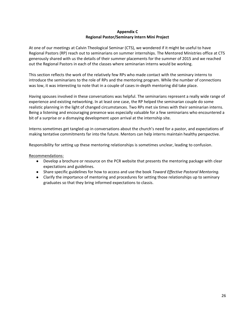#### **Appendix C Regional Pastor/Seminary Intern Mini Project**

At one of our meetings at Calvin Theological Seminar (CTS), we wondered if it might be useful to have Regional Pastors (RP) reach out to seminarians on summer internships. The Mentored Ministries office at CTS generously shared with us the details of their summer placements for the summer of 2015 and we reached out the Regional Pastors in each of the classes where seminarian interns would be working.

This section reflects the work of the relatively few RPs who made contact with the seminary interns to introduce the seminarians to the role of RPs and the mentoring program. While the number of connections was low, it was interesting to note that in a couple of cases in-depth mentoring did take place.

Having spouses involved in these conversations was helpful. The seminarians represent a really wide range of experience and existing networking. In at least one case, the RP helped the seminarian couple do some realistic planning in the light of changed circumstances. Two RPs met six times with their seminarian interns. Being a listening and encouraging presence was especially valuable for a few seminarians who encountered a bit of a surprise or a dismaying development upon arrival at the internship site.

Interns sometimes get tangled up in conversations about the church's need for a pastor, and expectations of making tentative commitments far into the future. Mentors can help interns maintain healthy perspective.

Responsibility for setting up these mentoring relationships is sometimes unclear, leading to confusion.

#### Recommendations:

- Develop a brochure or resource on the PCR website that presents the mentoring package with clear expectations and guidelines.
- Share specific guidelines for how to access and use the book *Toward Effective Pastoral Mentoring.*
- Clarify the importance of mentoring and procedures for setting those relationships up to seminary graduates so that they bring informed expectations to classis.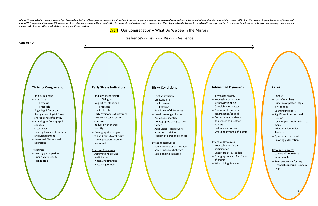When PCR was asked to develop ways to "get involved earlier" in difficult pastor-congregation situations, it seemed important to raise awareness of early indicators that signal when a situation was shifting toward difficul which PCR is experimenting to see if it can foster observations and conversations contributing to the health and resilience of a congregation. This diagram is not intended to be exhaustive or objective but to stimulate ima *leaders and, at times, with church visitors or congregational coaches.*



# **Crisis**

- Conflict
- Loss of members
- Criticism of pastor's style or conduct
- $-$  Sparking incident(s)
- Significant interpersonal tension
- $-$  Level of pain intolerable to many
- Additional loss of lay leaders
- Questions of survival
- Growing polarization



- 
- 
- 
- 
- 

#### Resource Concerns

- Cannot afford to lose more people
- Reluctant to ask for help
- $-$  Financial concerns re: neede help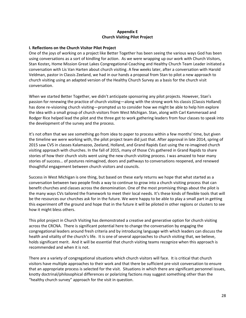#### **Appendix E Church Visiting Pilot Project**

#### **I. Reflections on the Church Visitor Pilot Project**

One of the joys of working on a project like Better Together has been seeing the various ways God has been using conversations as a sort of kindling for action. As we were wrapping up our work with Church Visitors, Stan Koster*,* Home Mission Great Lakes Congregational Coaching and Healthy Church Team Leader initiated a conversation with Lis Van Harten about church visiting. A few weeks later, after a conversation with Harold Veldman, pastor in Classis Zeeland, we had in our hands a proposal from Stan to pilot a new approach to church visiting using an adapted version of the Healthy Church Survey as a basis for the church visit conversation.

When we started Better Together, we didn't anticipate sponsoring any pilot projects. However, Stan's passion for renewing the practice of church visiting—along with the strong work his classis (Classis Holland) has done re-visioning church visiting—prompted us to consider how we might be able to help him explore the idea with a small group of church visitors from West Michigan. Stan, along with Carl Kammeraad and Rodger Rice helped lead the pilot and the three got to work gathering leaders from four classes to speak into the development of the survey and the process.

It's not often that we see something go from idea to paper to process within a few months' time, but given the timeline we were working with, the pilot project team did just that. After approval in late 2014, spring of 2015 saw CVS in classes Kalamazoo, Zeeland, Holland, and Grand Rapids East using the re-imagined church visiting approach with churches. In the fall of 2015, many of those CVs gathered in Grand Rapids to share stories of how their church visits went using the new church visiting process. I was amazed to hear many stories of success… of postures reimagined, doors and pathways to conversations reopened, and renewed thoughtful engagement between church visitors and councils.

Success in West Michigan is one thing, but based on these early returns we hope that what started as a conversation between two people finds a way to continue to grow into a church visiting process that can benefit churches and classes across the denomination. One of the most promising things about the pilot is the many ways CVs tailored the framework to meet their local needs. It's these kinds of flexible tools that will be the resources our churches ask for in the future. We were happy to be able to play a small part in getting this experiment off the ground and hope that in the future it will be piloted in other regions or clusters to see how it might bless others.

This pilot project in Church Visiting has demonstrated a creative and generative option for church visiting across the CRCNA. There is significant potential here to change the conversation by engaging the congregational leaders around fresh criteria and by introducing language with which leaders can discuss the health and vitality of the church's life. It is one of several approaches to church visiting that, we believe, holds significant merit. And it will be essential that church visiting teams recognize when this approach is recommended and when it is not.

There are a variety of congregational situations which church visitors will face. It is critical that church visitors have multiple approaches to their work and that there be sufficient pre-visit conversation to ensure that an appropriate process is selected for the visit. Situations in which there are significant personnel issues, knotty doctrinal/philosophical differences or polarizing factions may suggest something other than the "healthy church survey" approach for the visit in question.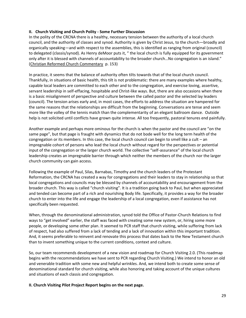#### **II. Church Visiting and Church Polity - Some Further Discussion**

In the polity of the CRCNA there is a healthy, necessary tension between the authority of a local church council, and the authority of classes and synod. Authority is given by Christ Jesus, to the church—broadly and organically speaking—and with respect to the assemblies, this is identified as ranging from original (council) to delegated (classis/synod). As Henry deMoor puts it, " the local church is fully equipped for its government only after it is blessed with channels of accountability to the broader church…No congregation is an island." (Christian Reformed Church Commentary p. 153)

In practice, it seems that the balance of authority often tilts towards that of the local church council. Thankfully, in situations of basic health, this tilt is not problematic: there are many examples where healthy, capable local leaders are committed to each other and to the congregation, and exercise loving, assertive, servant leadership in self-effacing, hospitable and Christ-like ways. But, there are also occasions when there is a basic misalignment of perspective and culture between the called pastor and the selected lay leaders (council). The tension arises early and, in most cases, the efforts to address the situation are hampered for the same reasons that the relationships are difficult from the beginning. Conversations are tense and seem more like the volley of the tennis match than the complementarity of an elegant ballroom dance. Outside help is not solicited until conflicts have grown quite intense. All too frequently, pastoral tenures end painfully.

Another example and perhaps more ominous for the church is when the pastor and the council are "on the same page", but that page is fraught with dynamics that do not bode well for the long term health of the congregation or its members. In this case, the local church council can begin to smell like a cult – an impregnable cohort of persons who lead the local church without regard for the perspectives or potential input of the congregation or the larger church world. The collective "self-assurance" of the local church leadership creates an impregnable barrier through which neither the members of the church nor the larger church community can gain access.

Following the example of Paul, Silas, Barnabas, Timothy and the church leaders of the Protestant Reformation, the CRCNA has created a way for congregations and their leaders to stay in relationship so that local congregations and councils may be blessed by channels of accountability and encouragement from the broader church. This way is called "church visiting". It is a tradition going back to Paul, but when appreciated and tended can become part of a rich and nourishing Body life. Specifically, it provides a way for the broader church to enter into the life and engage the leadership of a local congregation, even if assistance has not specifically been requested.

When, through the denominational administration, synod told the Office of Pastor-Church Relations to find ways to "get involved" earlier, the staff was faced with creating some new system, or, hiring some more people, or developing some other plan. It seemed to PCR staff that church visiting, while suffering from lack of respect, had also suffered from a lack of tending and a lack of innovation within this important tradition. And, it seems preferable to reinvent and renovate this process that dates back to the New Testament church than to invent something unique to the current conditions, context and culture.

So, our team recommends development of a new vision and roadmap for Church Visiting 2.0. (This roadmap begins with the recommendations we have sent to PCR regarding Church Visiting.) We intend to honor an old and venerable tradition with some new and helpful wrinkles. And, we intend both to create some sense of denominational standard for church visiting, while also honoring and taking account of the unique cultures and situations of each classis and congregation.

**II. Church Visiting Pilot Project Report begins on the next page.**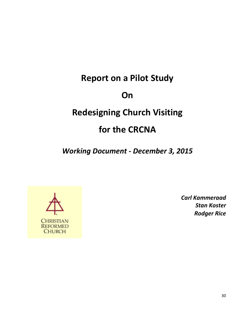# **Report on a Pilot Study On Redesigning Church Visiting for the CRCNA**

*Working Document - December 3, 2015*



*Carl Kammeraad Stan Koster Rodger Rice*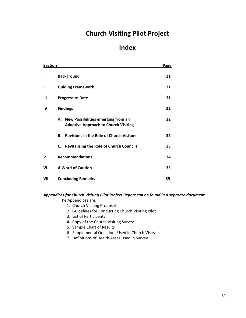# **Church Visiting Pilot Project**

# **Index**

| <b>Section</b> |                                                                                         | <b>Page</b> |
|----------------|-----------------------------------------------------------------------------------------|-------------|
| ı              | <b>Background</b>                                                                       | 31          |
| Ш              | <b>Guiding Framework</b>                                                                | 31          |
| Ш              | <b>Progress to Date</b>                                                                 | 31          |
| IV             | <b>Findings</b>                                                                         |             |
|                | New Possibilities emerging from an<br>А.<br><b>Adaptive Approach to Church Visiting</b> | 32          |
|                | <b>Revisions in the Role of Church Visitors</b><br>В.                                   | 32          |
|                | <b>Revitalizing the Role of Church Councils</b><br>C.                                   | 33          |
| v              | <b>Recommendations</b>                                                                  | 34          |
| VI             | <b>A Word of Caution</b>                                                                | 35          |
| VII            | <b>Concluding Remarks</b>                                                               | 35          |

# *Appendices for Church Visiting Pilot Project Report can be found in a separate document.*

The Appendices are:

- 1. Church Visiting Proposal
- 2. Guidelines for Conducting Church Visiting Pilot
- 3. List of Participants
- 4. Copy of the Church Visiting Survey
- 5. Sample Chart of Results
- 6. Supplemental Questions Used in Church Visits
- 7. Definitions of Health Areas Used in Survey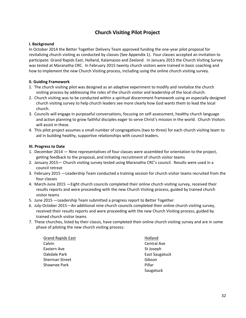# **Church Visiting Pilot Project**

#### **I. Background**

In October 2014 the Better Together Delivery Team approved funding the one-year pilot proposal for revitalizing church visiting as conducted by classes (See Appendix 1). Four classes accepted an invitation to participate: Grand Rapids East, Holland, Kalamazoo and Zeeland. In January 2015 the Church Visiting Survey was tested at Maranatha CRC. In February 2015 twenty church visitors were trained in basic coaching and how to implement the new Church Visiting process, including using the online church visiting survey.

#### **II. Guiding Framework**

- 1. The church visiting pilot was designed as an adaptive experiment to modify and revitalize the church visiting process by addressing the roles of the church visitor and leadership of the local church.
- 2. Church visiting was to be conducted within a spiritual discernment framework using an especially designed church visiting survey to help church leaders see more clearly how God wants them to lead the local church.
- 3. Councils will engage in purposeful conversations, focusing on self-assessment, healthy church language and action planning to grow faithful disciples eager to serve Christ's mission in the world. Church Visitors will assist in these.
- 4. This pilot project assumes a small number of congregations (two to three) for each church visiting team to aid in building healthy, supportive relationships with council leaders.

#### **III. Progress to Date**

- 1. December 2014 Nine representatives of four classes were assembled for orientation to the project, getting feedback to the proposal, and initiating recruitment of church visitor teams
- 2. January 2015— Church visiting survey tested using Maranatha CRC's council. Results were used in a council retreat
- 3. February 2015 —Leadership Team conducted a training session for church visitor teams recruited from the four classes
- 4. March-June 2015 —Eight church councils completed their online church visiting survey, received their results reports and were proceeding with the new Church Visiting process, guided by trained church visitor teams
- 5. June 2015 —Leadership Team submitted a progress report to Better Together
- 6. July-October 2015—An additional nine church councils completed their online church visiting survey, received their results reports and were proceeding with the new Church Visiting process, guided by trained church visitor teams
- 7. These churches, listed by their classis, have completed their online church visiting survey and are in some phase of piloting the new church visiting process:

Grand Rapids East **Holland** Calvin Calvin Calvin Central Ave Eastern Ave St Joseph Oakdale Park **East Saugatuck** East Saugatuck Sherman Street Gibson Shawnee Park **Pillar** Pillar

Saugatuck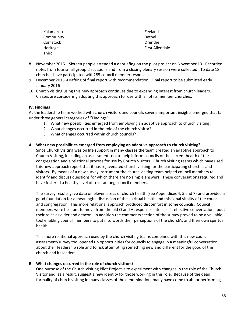| Kalamazoo | Zeeland                |
|-----------|------------------------|
| Community | Bethel                 |
| Comstock  | Drenthe                |
| Heritage  | <b>First Allendale</b> |
| Third     |                        |

- 8. November 2015—Sixteen people attended a debriefing on the pilot project on November 13. Recorded notes from four small group discussions and from a closing plenary session were collected. To date 18 churches have participated with285 council member responses.
- 9. December 2015 -Drafting of final report with recommendation. Final report to be submitted early January 2016
- 10. Church visiting using this new approach continues due to expanding interest from church leaders. Classes are considering adopting this approach for use with all of its member churches.

#### **IV. Findings**

As the leadership team worked with church visitors and councils several important insights emerged that fall under three general categories of "Findings":

- 1. What new possibilities emerged from employing an adaptive approach to church visiting?
- 2. What changes occurred in the role of the church visitor?
- 3. What changes occurred within church councils?

#### **A. What new possibilities emerged from employing an adaptive approach to church visiting?**

Since Church Visiting was on life support in many classes the team created an adaptive approach to Church Visiting, including an assessment tool to help inform councils of the current health of the congregation and a relational process for use by Church Visitors. Church visiting teams which have used this new approach report that it has rejuvenated church visiting for the participating churches and visitors. By means of a new survey instrument the church visiting team helped council members to identify and discuss questions for which there are no simple answers. These conversations required and have fostered a healthy level of trust among council members.

The survey results gave data on eleven areas of church health (see Appendices 4, 5 and 7) and provided a good foundation for a meaningful discussion of the spiritual health and missional vitality of the council and congregation. This more relational approach produced discomfort in some councils. Council members were hesitant to move from the old Q and A responses into a self-reflective conversation about their roles as elder and deacon. In addition the comments section of the survey proved to be a valuable tool enabling council members to put into words their perceptions of the church's and their own spiritual health.

This more relational approach used by the church visiting teams combined with this new council assessment/survey tool opened up opportunities for councils to engage in a meaningful conversation about their leadership role and to risk attempting something new and different for the good of the church and its leaders.

#### **B. What changes occurred in the role of church visitors?**

One purpose of the Church Visiting Pilot Project is to experiment with changes in the role of the Church Visitor and, as a result, suggest a new identity for those working in this role. Because of the dead formality of church visiting in many classes of the denomination, many have come to abhor performing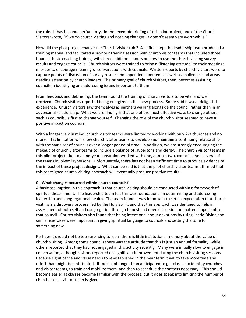the role. It has become perfunctory. In the recent debriefing of this pilot project, one of the Church Visitors wrote, "If we do church visiting and nothing changes, it doesn't seem very worthwhile."

How did the pilot project change the Church Visitor role? As a first step, the leadership team produced a training manual and facilitated a six-hour training session with church visitor teams that included three hours of basic coaching training with three additional hours on how to use the church visiting survey results and engage councils. Church visitors were trained to bring a "listening attitude" to their meetings in order to encourage meaningful conversations with councils. Written reports by church visitors were to capture points of discussion of survey results and appended comments as well as challenges and areas needing attention by church leaders. The primary goal of church visitors, then, becomes assisting councils in identifying and addressing issues important to them.

From feedback and debriefing, the team found the training of church visitors to be vital and well received. Church visitors reported being energized in this new process. Some said it was a delightful experience. Church visitors saw themselves as partners walking alongside the council rather than in an adversarial relationship. What we are finding is that one of the most effective ways to change others, such as councils, is first to change yourself. Changing the role of the church visitor seemed to have a positive impact on councils.

With a longer view in mind, church visitor teams were limited to working with only 2-3 churches and no more. This limitation will allow church visitor teams to develop and maintain a continuing relationship with the same set of councils over a longer period of time. In addition, we are strongly encouraging the makeup of church visitor teams to include a balance of laypersons and clergy. The church visitor teams in this pilot project, due to a one-year constraint, worked with one, at most two, councils. And several of the teams involved laypersons. Unfortunately, there has not been sufficient time to produce evidence of the impact of these project designs. What can be said is that the pilot church visitor teams affirmed that this redesigned church visiting approach will eventually produce positive results.

#### **C. What changes occurred within church councils?**

A basic assumption in this approach is that church visiting should be conducted within a framework of spiritual discernment. The leadership team felt this was foundational in determining and addressing leadership and congregational health. The team found it was important to set an expectation that church visiting is a discovery process, led by the Holy Spirit; and that this approach was designed to help in assessment of both self and congregation through honest and open discussion on matters important to that council. Church visitors also found that being intentional about devotions by using Lectio Divina and similar exercises were important in giving spiritual language to councils and setting the tone for something new.

Perhaps it should not be too surprising to learn there is little institutional memory about the value of church visiting. Among some councils there was the attitude that this is just an annual formality, while others reported that they had not engaged in this activity recently. Many were initially slow to engage in conversation, although visitors reported on significant improvement during the church visiting sessions. Because significance and value needs to re-established in the near term it will to take more time and effort than might be anticipated. It took a lot longer than anticipated to get classes to identify churches and visitor teams, to train and mobilize them, and then to schedule the contacts necessary. This should become easier as classes become familiar with the process, but it does speak into limiting the number of churches each visitor team is given.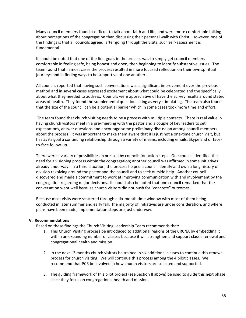Many council members found it difficult to talk about faith and life, and were more comfortable talking about perceptions of the congregation than discussing their personal walk with Christ. However, one of the findings is that all councils agreed, after going through the visits, such self-assessment is fundamental.

It should be noted that one of the first goals in the process was to simply get council members comfortable in feeling safe, being honest and open, then beginning to identify substantive issues. The team found that in most cases the process resulted in more focused reflection on their own spiritual journeys and in finding ways to be supportive of one another.

All councils reported that having such conversations was a significant improvement over the previous method and in several cases expressed excitement about what could be celebrated and the specifically about what they needed to address. Councils were appreciative of have the survey results around stated areas of health. They found the supplemental question listing as very stimulating. The team also found that the size of the council can be a potential barrier which in some cases took more time and effort.

The team found that church visiting needs to be a process with multiple contacts. There is real value in having church visitors meet in a pre-meeting with the pastor and a couple of key leaders to set expectations, answer questions and encourage some preliminary discussion among council members about the process. It was important to make them aware that it is just not a one-time church visit, but has as its goal a continuing relationship through a variety of means, including emails, Skype and or faceto-face follow-up.

There were a variety of possibilities expressed by councils for action steps. One council identified the need for a visioning process within the congregation; another council was affirmed in some initiatives already underway. In a third situation, the process helped a council identify and own a long history of division revolving around the pastor and the council and to seek outside help. Another council discovered and made a commitment to work at improving communication with and involvement by the congregation regarding major decisions. It should also be noted that one council remarked that the conversation went well because church visitors did not push for "concrete" outcomes.

Because most visits were scattered through a six-month time window with most of them being conducted in later summer and early fall, the majority of initiatives are under consideration, and where plans have been made, implementation steps are just underway.

#### **V. Recommendations**

Based on these findings the Church Visiting Leadership Team recommends that:

- 1. This Church Visiting process be introduced to additional regions of the CRCNA by embedding it within an expanding number of classes because it will strengthen and support classis renewal and congregational health and mission.
- 2. In the next 12 months church visitors be trained in six additional classes to continue this renewal process for church visiting. We will continue this process among the 4 pilot classes. We recommend that PCR be involved in how church visitors are selected and supported.
- 3. The guiding framework of this pilot project (see Section II above) be used to guide this next phase since they focus on congregational health and mission.